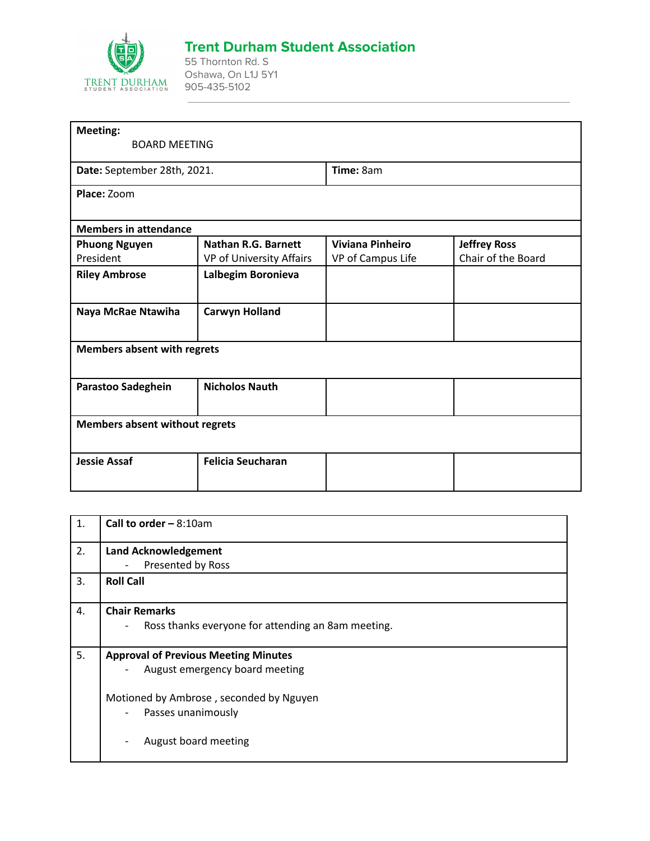

## **Trent Durham Student Association**

55 Thornton Rd. S Oshawa, On L1J 5Y1 905-435-5102

| <b>Meeting:</b>                       |                            |                         |                     |  |  |
|---------------------------------------|----------------------------|-------------------------|---------------------|--|--|
| <b>BOARD MEETING</b>                  |                            |                         |                     |  |  |
| Date: September 28th, 2021.           |                            | Time: 8am               |                     |  |  |
| Place: Zoom                           |                            |                         |                     |  |  |
|                                       |                            |                         |                     |  |  |
| <b>Members in attendance</b>          |                            |                         |                     |  |  |
| <b>Phuong Nguyen</b>                  | <b>Nathan R.G. Barnett</b> | <b>Viviana Pinheiro</b> | <b>Jeffrey Ross</b> |  |  |
| President                             | VP of University Affairs   | VP of Campus Life       | Chair of the Board  |  |  |
| <b>Riley Ambrose</b>                  | Lalbegim Boronieva         |                         |                     |  |  |
|                                       |                            |                         |                     |  |  |
| Naya McRae Ntawiha                    | <b>Carwyn Holland</b>      |                         |                     |  |  |
|                                       |                            |                         |                     |  |  |
| <b>Members absent with regrets</b>    |                            |                         |                     |  |  |
|                                       |                            |                         |                     |  |  |
| Parastoo Sadeghein                    | <b>Nicholos Nauth</b>      |                         |                     |  |  |
|                                       |                            |                         |                     |  |  |
| <b>Members absent without regrets</b> |                            |                         |                     |  |  |
|                                       |                            |                         |                     |  |  |
| <b>Jessie Assaf</b>                   | <b>Felicia Seucharan</b>   |                         |                     |  |  |
|                                       |                            |                         |                     |  |  |
|                                       |                            |                         |                     |  |  |

| 1. | Call to order $-8:10am$                                                                                   |  |
|----|-----------------------------------------------------------------------------------------------------------|--|
| 2. | <b>Land Acknowledgement</b><br>Presented by Ross<br>$\overline{a}$                                        |  |
| 3. | <b>Roll Call</b>                                                                                          |  |
| 4. | <b>Chair Remarks</b><br>Ross thanks everyone for attending an 8am meeting.<br>$\overline{\phantom{a}}$    |  |
| 5. | <b>Approval of Previous Meeting Minutes</b><br>August emergency board meeting<br>$\overline{\phantom{0}}$ |  |
|    | Motioned by Ambrose, seconded by Nguyen<br>Passes unanimously<br>-                                        |  |
|    | August board meeting<br>$\overline{\phantom{a}}$                                                          |  |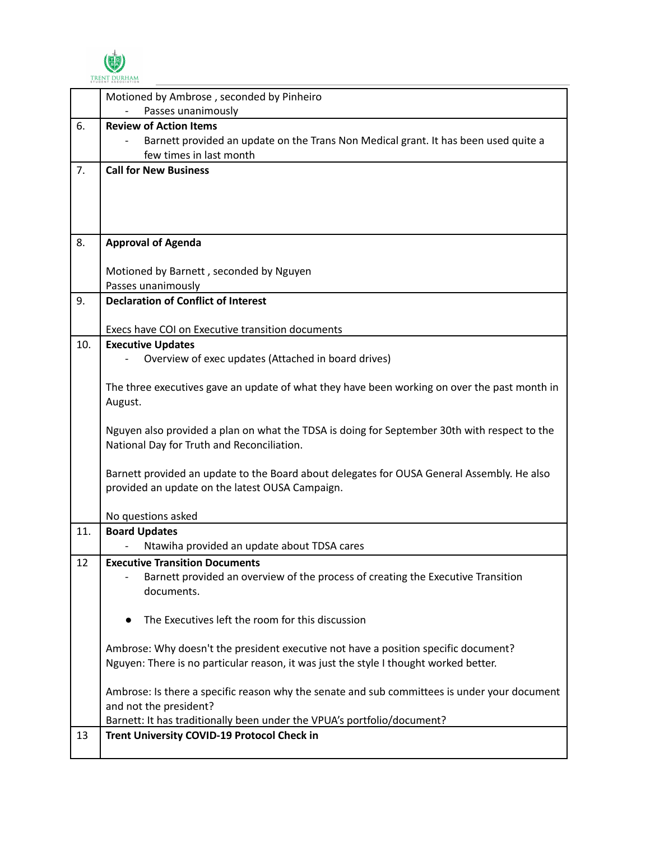

|     | Motioned by Ambrose, seconded by Pinheiro                                                                                                  |
|-----|--------------------------------------------------------------------------------------------------------------------------------------------|
|     | Passes unanimously                                                                                                                         |
| 6.  | <b>Review of Action Items</b>                                                                                                              |
|     | Barnett provided an update on the Trans Non Medical grant. It has been used quite a                                                        |
|     | few times in last month                                                                                                                    |
| 7.  | <b>Call for New Business</b>                                                                                                               |
|     |                                                                                                                                            |
|     |                                                                                                                                            |
|     |                                                                                                                                            |
| 8.  | <b>Approval of Agenda</b>                                                                                                                  |
|     |                                                                                                                                            |
|     | Motioned by Barnett, seconded by Nguyen                                                                                                    |
|     | Passes unanimously                                                                                                                         |
| 9.  | <b>Declaration of Conflict of Interest</b>                                                                                                 |
|     |                                                                                                                                            |
|     | Execs have COI on Executive transition documents                                                                                           |
| 10. | <b>Executive Updates</b>                                                                                                                   |
|     | Overview of exec updates (Attached in board drives)                                                                                        |
|     |                                                                                                                                            |
|     | The three executives gave an update of what they have been working on over the past month in                                               |
|     | August.                                                                                                                                    |
|     |                                                                                                                                            |
|     | Nguyen also provided a plan on what the TDSA is doing for September 30th with respect to the<br>National Day for Truth and Reconciliation. |
|     |                                                                                                                                            |
|     | Barnett provided an update to the Board about delegates for OUSA General Assembly. He also                                                 |
|     | provided an update on the latest OUSA Campaign.                                                                                            |
|     |                                                                                                                                            |
|     | No questions asked                                                                                                                         |
| 11. | <b>Board Updates</b>                                                                                                                       |
|     | Ntawiha provided an update about TDSA cares                                                                                                |
| 12  | <b>Executive Transition Documents</b>                                                                                                      |
|     | Barnett provided an overview of the process of creating the Executive Transition                                                           |
|     | documents.                                                                                                                                 |
|     |                                                                                                                                            |
|     | The Executives left the room for this discussion                                                                                           |
|     | Ambrose: Why doesn't the president executive not have a position specific document?                                                        |
|     | Nguyen: There is no particular reason, it was just the style I thought worked better.                                                      |
|     |                                                                                                                                            |
|     | Ambrose: Is there a specific reason why the senate and sub committees is under your document                                               |
|     | and not the president?                                                                                                                     |
|     | Barnett: It has traditionally been under the VPUA's portfolio/document?                                                                    |
| 13  | Trent University COVID-19 Protocol Check in                                                                                                |
|     |                                                                                                                                            |